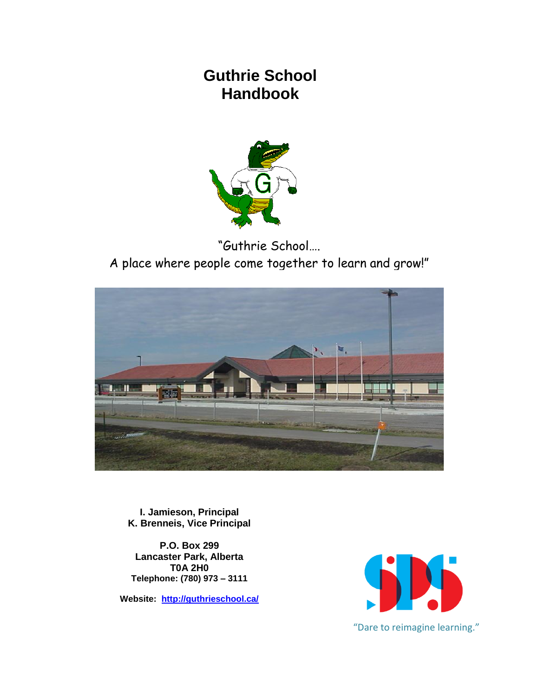# **Guthrie School Handbook**



"Guthrie School…. A place where people come together to learn and grow!"



**I. Jamieson, Principal K. Brenneis, Vice Principal**

**P.O. Box 299 Lancaster Park, Alberta T0A 2H0 Telephone: (780) 973 – 3111**

**Website: <http://guthrieschool.ca/>**

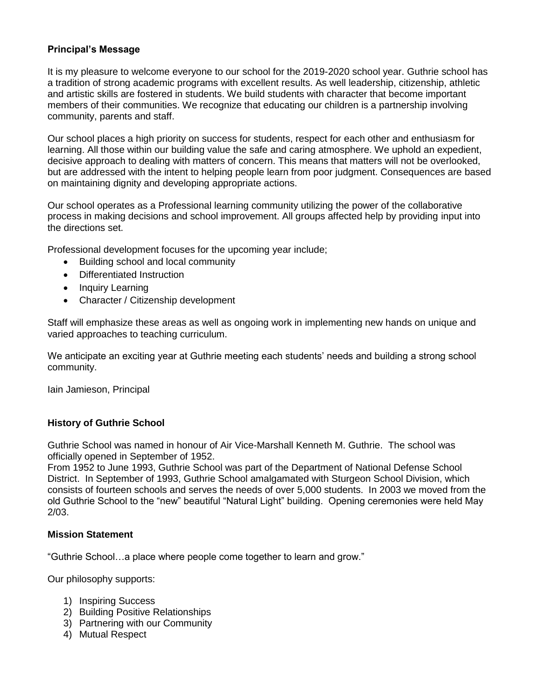# **Principal's Message**

It is my pleasure to welcome everyone to our school for the 2019-2020 school year. Guthrie school has a tradition of strong academic programs with excellent results. As well leadership, citizenship, athletic and artistic skills are fostered in students. We build students with character that become important members of their communities. We recognize that educating our children is a partnership involving community, parents and staff.

Our school places a high priority on success for students, respect for each other and enthusiasm for learning. All those within our building value the safe and caring atmosphere. We uphold an expedient, decisive approach to dealing with matters of concern. This means that matters will not be overlooked, but are addressed with the intent to helping people learn from poor judgment. Consequences are based on maintaining dignity and developing appropriate actions.

Our school operates as a Professional learning community utilizing the power of the collaborative process in making decisions and school improvement. All groups affected help by providing input into the directions set.

Professional development focuses for the upcoming year include;

- Building school and local community
- Differentiated Instruction
- Inquiry Learning
- Character / Citizenship development

Staff will emphasize these areas as well as ongoing work in implementing new hands on unique and varied approaches to teaching curriculum.

We anticipate an exciting year at Guthrie meeting each students' needs and building a strong school community.

Iain Jamieson, Principal

#### **History of Guthrie School**

Guthrie School was named in honour of Air Vice-Marshall Kenneth M. Guthrie. The school was officially opened in September of 1952.

From 1952 to June 1993, Guthrie School was part of the Department of National Defense School District. In September of 1993, Guthrie School amalgamated with Sturgeon School Division, which consists of fourteen schools and serves the needs of over 5,000 students. In 2003 we moved from the old Guthrie School to the "new" beautiful "Natural Light" building. Opening ceremonies were held May 2/03.

#### **Mission Statement**

"Guthrie School…a place where people come together to learn and grow."

Our philosophy supports:

- 1) Inspiring Success
- 2) Building Positive Relationships
- 3) Partnering with our Community
- 4) Mutual Respect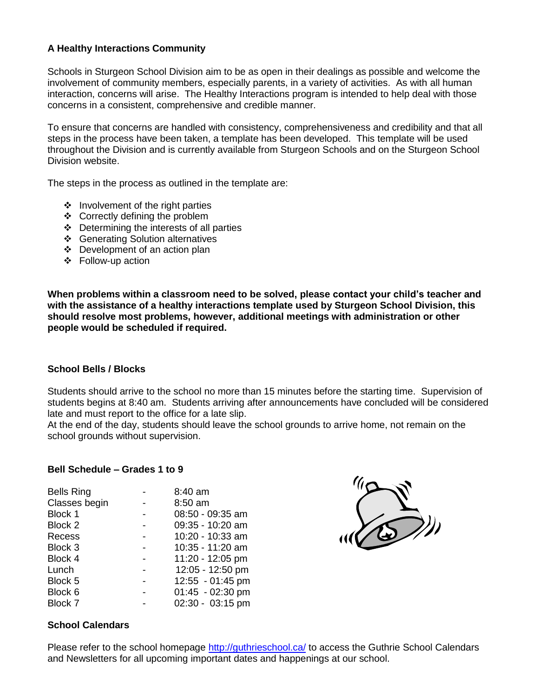# **A Healthy Interactions Community**

Schools in Sturgeon School Division aim to be as open in their dealings as possible and welcome the involvement of community members, especially parents, in a variety of activities. As with all human interaction, concerns will arise. The Healthy Interactions program is intended to help deal with those concerns in a consistent, comprehensive and credible manner.

To ensure that concerns are handled with consistency, comprehensiveness and credibility and that all steps in the process have been taken, a template has been developed. This template will be used throughout the Division and is currently available from Sturgeon Schools and on the Sturgeon School Division website.

The steps in the process as outlined in the template are:

- $\div$  Involvement of the right parties
- ❖ Correctly defining the problem
- Determining the interests of all parties
- Generating Solution alternatives
- Development of an action plan
- Follow-up action

**When problems within a classroom need to be solved, please contact your child's teacher and with the assistance of a healthy interactions template used by Sturgeon School Division, this should resolve most problems, however, additional meetings with administration or other people would be scheduled if required.**

# **School Bells / Blocks**

Students should arrive to the school no more than 15 minutes before the starting time. Supervision of students begins at 8:40 am. Students arriving after announcements have concluded will be considered late and must report to the office for a late slip.

At the end of the day, students should leave the school grounds to arrive home, not remain on the school grounds without supervision.

#### **Bell Schedule – Grades 1 to 9**

| <b>Bells Ring</b> | 8:40 am            |
|-------------------|--------------------|
| Classes begin     | 8:50 am            |
| Block 1           | 08:50 - 09:35 am   |
| Block 2           | 09:35 - 10:20 am   |
| Recess            | 10:20 - 10:33 am   |
| Block 3           | 10:35 - 11:20 am   |
| Block 4           | 11:20 - 12:05 pm   |
| Lunch             | 12:05 - 12:50 pm   |
| Block 5           | 12:55 - 01:45 pm   |
| Block 6           | $01:45 - 02:30$ pm |
| Block 7           | 02:30 - 03:15 pm   |



# **School Calendars**

Please refer to the school homepage<http://guthrieschool.ca/> to access the Guthrie School Calendars and Newsletters for all upcoming important dates and happenings at our school.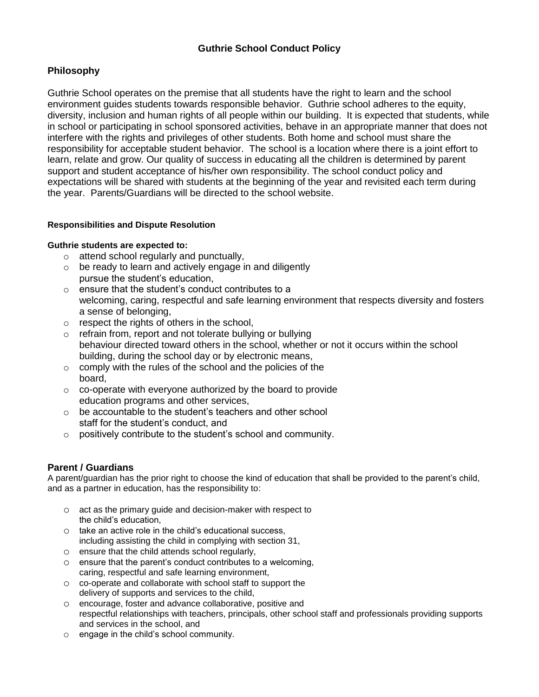# **Philosophy**

Guthrie School operates on the premise that all students have the right to learn and the school environment guides students towards responsible behavior. Guthrie school adheres to the equity, diversity, inclusion and human rights of all people within our building. It is expected that students, while in school or participating in school sponsored activities, behave in an appropriate manner that does not interfere with the rights and privileges of other students. Both home and school must share the responsibility for acceptable student behavior. The school is a location where there is a joint effort to learn, relate and grow. Our quality of success in educating all the children is determined by parent support and student acceptance of his/her own responsibility. The school conduct policy and expectations will be shared with students at the beginning of the year and revisited each term during the year. Parents/Guardians will be directed to the school website.

# **Responsibilities and Dispute Resolution**

#### **Guthrie students are expected to:**

- o attend school regularly and punctually,
- o be ready to learn and actively engage in and diligently pursue the student's education,
- o ensure that the student's conduct contributes to a welcoming, caring, respectful and safe learning environment that respects diversity and fosters a sense of belonging,
- o respect the rights of others in the school,
- o refrain from, report and not tolerate bullying or bullying behaviour directed toward others in the school, whether or not it occurs within the school building, during the school day or by electronic means,
- o comply with the rules of the school and the policies of the board,
- o co-operate with everyone authorized by the board to provide education programs and other services,
- o be accountable to the student's teachers and other school staff for the student's conduct, and
- $\circ$  positively contribute to the student's school and community.

# **Parent / Guardians**

A parent/guardian has the prior right to choose the kind of education that shall be provided to the parent's child, and as a partner in education, has the responsibility to:

- o act as the primary guide and decision-maker with respect to the child's education,
- o take an active role in the child's educational success, including assisting the child in complying with section 31,
- o ensure that the child attends school regularly,
- o ensure that the parent's conduct contributes to a welcoming, caring, respectful and safe learning environment,
- o co-operate and collaborate with school staff to support the delivery of supports and services to the child,
- o encourage, foster and advance collaborative, positive and respectful relationships with teachers, principals, other school staff and professionals providing supports and services in the school, and
- o engage in the child's school community.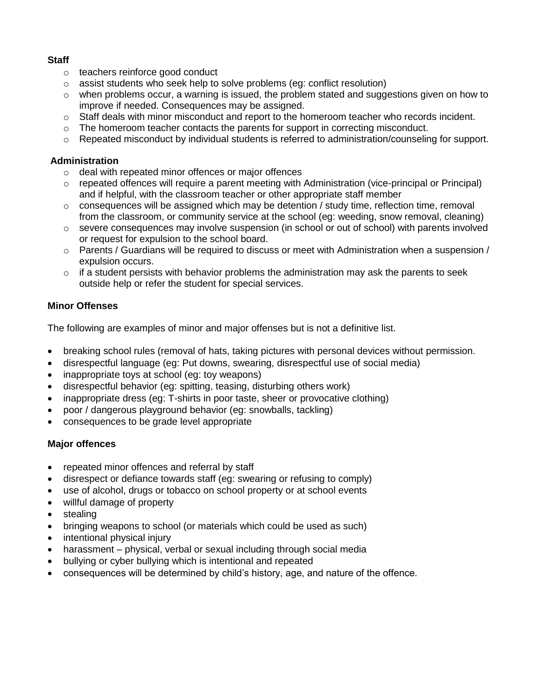# **Staff**

- o teachers reinforce good conduct
- o assist students who seek help to solve problems (eg: conflict resolution)
- $\circ$  when problems occur, a warning is issued, the problem stated and suggestions given on how to improve if needed. Consequences may be assigned.
- $\circ$  Staff deals with minor misconduct and report to the homeroom teacher who records incident.
- $\circ$  The homeroom teacher contacts the parents for support in correcting misconduct.
- $\circ$  Repeated misconduct by individual students is referred to administration/counseling for support.

# **Administration**

- o deal with repeated minor offences or major offences
- $\circ$  repeated offences will require a parent meeting with Administration (vice-principal or Principal) and if helpful, with the classroom teacher or other appropriate staff member
- $\circ$  consequences will be assigned which may be detention / study time, reflection time, removal from the classroom, or community service at the school (eg: weeding, snow removal, cleaning)
- o severe consequences may involve suspension (in school or out of school) with parents involved or request for expulsion to the school board.
- $\circ$  Parents / Guardians will be required to discuss or meet with Administration when a suspension / expulsion occurs.
- $\circ$  if a student persists with behavior problems the administration may ask the parents to seek outside help or refer the student for special services.

# **Minor Offenses**

The following are examples of minor and major offenses but is not a definitive list.

- breaking school rules (removal of hats, taking pictures with personal devices without permission.
- disrespectful language (eg: Put downs, swearing, disrespectful use of social media)
- inappropriate toys at school (eg: toy weapons)
- disrespectful behavior (eg: spitting, teasing, disturbing others work)
- inappropriate dress (eg: T-shirts in poor taste, sheer or provocative clothing)
- poor / dangerous playground behavior (eg: snowballs, tackling)
- consequences to be grade level appropriate

# **Major offences**

- repeated minor offences and referral by staff
- disrespect or defiance towards staff (eg: swearing or refusing to comply)
- use of alcohol, drugs or tobacco on school property or at school events
- willful damage of property
- stealing
- bringing weapons to school (or materials which could be used as such)
- intentional physical injury
- harassment physical, verbal or sexual including through social media
- bullying or cyber bullying which is intentional and repeated
- consequences will be determined by child's history, age, and nature of the offence.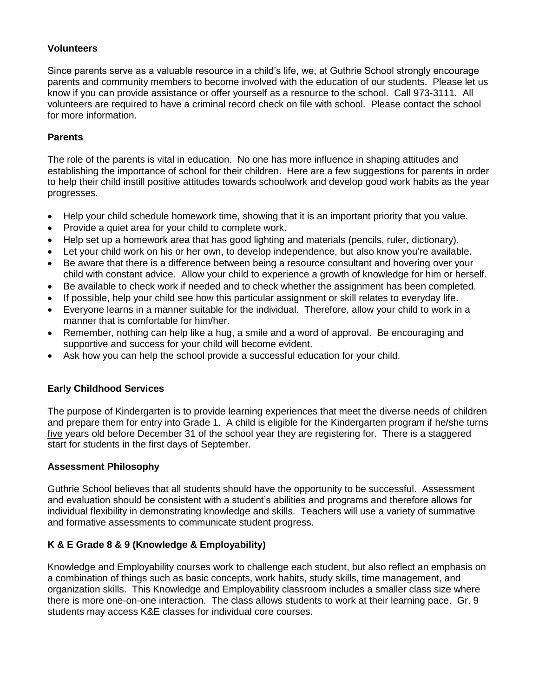# **Volunteers**

Since parents serve as a valuable resource in a child's life, we, at Guthrie School strongly encourage parents and community members to become involved with the education of our students. Please let us know if you can provide assistance or offer yourself as a resource to the school. Call 973-3111. All volunteers are required to have a criminal record check on file with school. Please contact the school for more information.

# **Parents**

The role of the parents is vital in education. No one has more influence in shaping attitudes and establishing the importance of school for their children. Here are a few suggestions for parents in order to help their child instill positive attitudes towards schoolwork and develop good work habits as the year progresses.

- Help your child schedule homework time, showing that it is an important priority that you value.
- Provide a quiet area for your child to complete work.
- Help set up a homework area that has good lighting and materials (pencils, ruler, dictionary).
- Let your child work on his or her own, to develop independence, but also know you're available.
- Be aware that there is a difference between being a resource consultant and hovering over your child with constant advice. Allow your child to experience a growth of knowledge for him or herself.
- Be available to check work if needed and to check whether the assignment has been completed.
- If possible, help your child see how this particular assignment or skill relates to everyday life.
- Everyone learns in a manner suitable for the individual. Therefore, allow your child to work in a manner that is comfortable for him/her.
- Remember, nothing can help like a hug, a smile and a word of approval. Be encouraging and supportive and success for your child will become evident.
- Ask how you can help the school provide a successful education for your child.

# **Early Childhood Services**

The purpose of Kindergarten is to provide learning experiences that meet the diverse needs of children and prepare them for entry into Grade 1. A child is eligible for the Kindergarten program if he/she turns five years old before December 31 of the school year they are registering for. There is a staggered start for students in the first days of September.

# **Assessment Philosophy**

Guthrie School believes that all students should have the opportunity to be successful. Assessment and evaluation should be consistent with a student's abilities and programs and therefore allows for individual flexibility in demonstrating knowledge and skills. Teachers will use a variety of summative and formative assessments to communicate student progress.

# **K & E Grade 8 & 9 (Knowledge & Employability)**

Knowledge and Employability courses work to challenge each student, but also reflect an emphasis on a combination of things such as basic concepts, work habits, study skills, time management, and organization skills. This Knowledge and Employability classroom includes a smaller class size where there is more one-on-one interaction. The class allows students to work at their learning pace. Gr. 9 students may access K&E classes for individual core courses.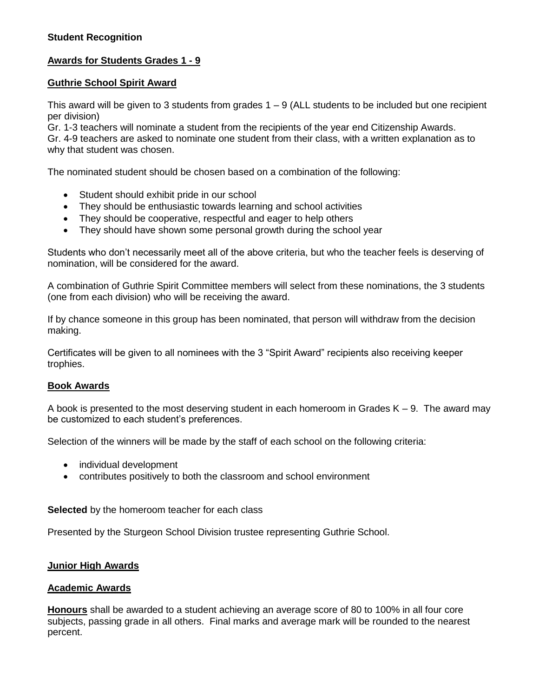# **Awards for Students Grades 1 - 9**

# **Guthrie School Spirit Award**

This award will be given to 3 students from grades 1 – 9 (ALL students to be included but one recipient per division)

Gr. 1-3 teachers will nominate a student from the recipients of the year end Citizenship Awards. Gr. 4-9 teachers are asked to nominate one student from their class, with a written explanation as to why that student was chosen.

The nominated student should be chosen based on a combination of the following:

- Student should exhibit pride in our school
- They should be enthusiastic towards learning and school activities
- They should be cooperative, respectful and eager to help others
- They should have shown some personal growth during the school year

Students who don't necessarily meet all of the above criteria, but who the teacher feels is deserving of nomination, will be considered for the award.

A combination of Guthrie Spirit Committee members will select from these nominations, the 3 students (one from each division) who will be receiving the award.

If by chance someone in this group has been nominated, that person will withdraw from the decision making.

Certificates will be given to all nominees with the 3 "Spirit Award" recipients also receiving keeper trophies.

# **Book Awards**

A book is presented to the most deserving student in each homeroom in Grades  $K - 9$ . The award may be customized to each student's preferences.

Selection of the winners will be made by the staff of each school on the following criteria:

- individual development
- contributes positively to both the classroom and school environment

**Selected** by the homeroom teacher for each class

Presented by the Sturgeon School Division trustee representing Guthrie School.

# **Junior High Awards**

#### **Academic Awards**

**Honours** shall be awarded to a student achieving an average score of 80 to 100% in all four core subjects, passing grade in all others. Final marks and average mark will be rounded to the nearest percent.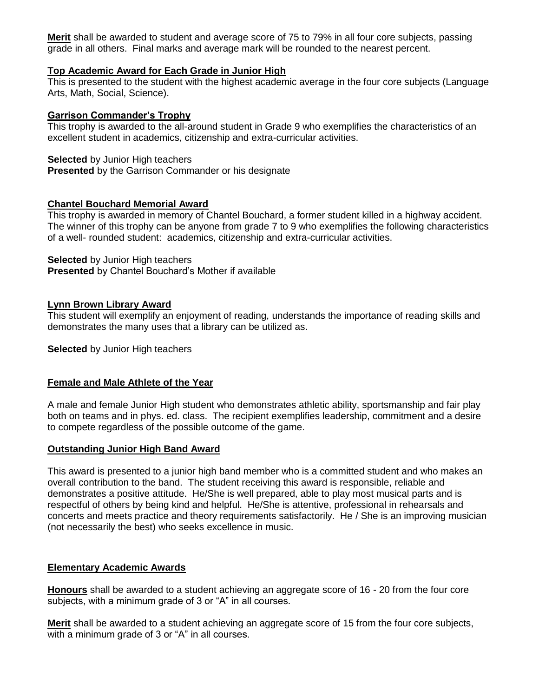**Merit** shall be awarded to student and average score of 75 to 79% in all four core subjects, passing grade in all others. Final marks and average mark will be rounded to the nearest percent.

## **Top Academic Award for Each Grade in Junior High**

This is presented to the student with the highest academic average in the four core subjects (Language Arts, Math, Social, Science).

#### **Garrison Commander's Trophy**

This trophy is awarded to the all-around student in Grade 9 who exemplifies the characteristics of an excellent student in academics, citizenship and extra-curricular activities.

#### **Selected** by Junior High teachers

**Presented** by the Garrison Commander or his designate

#### **Chantel Bouchard Memorial Award**

This trophy is awarded in memory of Chantel Bouchard, a former student killed in a highway accident. The winner of this trophy can be anyone from grade 7 to 9 who exemplifies the following characteristics of a well- rounded student: academics, citizenship and extra-curricular activities.

#### **Selected** by Junior High teachers

**Presented** by Chantel Bouchard's Mother if available

#### **Lynn Brown Library Award**

This student will exemplify an enjoyment of reading, understands the importance of reading skills and demonstrates the many uses that a library can be utilized as.

**Selected** by Junior High teachers

# **Female and Male Athlete of the Year**

A male and female Junior High student who demonstrates athletic ability, sportsmanship and fair play both on teams and in phys. ed. class. The recipient exemplifies leadership, commitment and a desire to compete regardless of the possible outcome of the game.

# **Outstanding Junior High Band Award**

This award is presented to a junior high band member who is a committed student and who makes an overall contribution to the band. The student receiving this award is responsible, reliable and demonstrates a positive attitude. He/She is well prepared, able to play most musical parts and is respectful of others by being kind and helpful. He/She is attentive, professional in rehearsals and concerts and meets practice and theory requirements satisfactorily. He / She is an improving musician (not necessarily the best) who seeks excellence in music.

# **Elementary Academic Awards**

**Honours** shall be awarded to a student achieving an aggregate score of 16 - 20 from the four core subjects, with a minimum grade of 3 or "A" in all courses.

**Merit** shall be awarded to a student achieving an aggregate score of 15 from the four core subjects, with a minimum grade of 3 or "A" in all courses.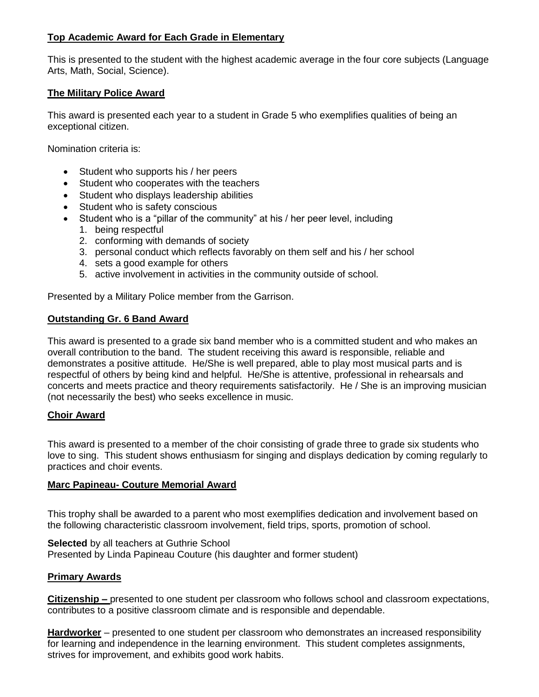# **Top Academic Award for Each Grade in Elementary**

This is presented to the student with the highest academic average in the four core subjects (Language Arts, Math, Social, Science).

## **The Military Police Award**

This award is presented each year to a student in Grade 5 who exemplifies qualities of being an exceptional citizen.

Nomination criteria is:

- Student who supports his / her peers
- Student who cooperates with the teachers
- Student who displays leadership abilities
- Student who is safety conscious
- Student who is a "pillar of the community" at his / her peer level, including
	- 1. being respectful
	- 2. conforming with demands of society
	- 3. personal conduct which reflects favorably on them self and his / her school
	- 4. sets a good example for others
	- 5. active involvement in activities in the community outside of school.

Presented by a Military Police member from the Garrison.

#### **Outstanding Gr. 6 Band Award**

This award is presented to a grade six band member who is a committed student and who makes an overall contribution to the band. The student receiving this award is responsible, reliable and demonstrates a positive attitude. He/She is well prepared, able to play most musical parts and is respectful of others by being kind and helpful. He/She is attentive, professional in rehearsals and concerts and meets practice and theory requirements satisfactorily. He / She is an improving musician (not necessarily the best) who seeks excellence in music.

#### **Choir Award**

This award is presented to a member of the choir consisting of grade three to grade six students who love to sing. This student shows enthusiasm for singing and displays dedication by coming regularly to practices and choir events.

#### **Marc Papineau- Couture Memorial Award**

This trophy shall be awarded to a parent who most exemplifies dedication and involvement based on the following characteristic classroom involvement, field trips, sports, promotion of school.

**Selected** by all teachers at Guthrie School Presented by Linda Papineau Couture (his daughter and former student)

#### **Primary Awards**

**Citizenship –** presented to one student per classroom who follows school and classroom expectations, contributes to a positive classroom climate and is responsible and dependable.

**Hardworker** – presented to one student per classroom who demonstrates an increased responsibility for learning and independence in the learning environment. This student completes assignments, strives for improvement, and exhibits good work habits.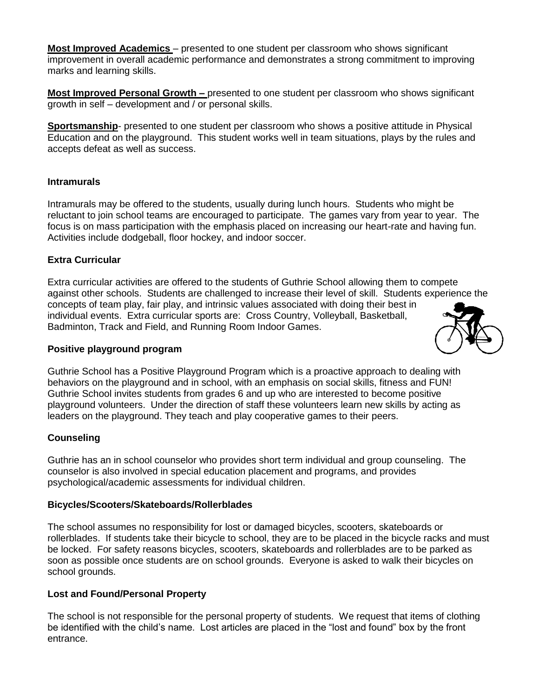**Most Improved Academics** – presented to one student per classroom who shows significant improvement in overall academic performance and demonstrates a strong commitment to improving marks and learning skills.

**Most Improved Personal Growth –** presented to one student per classroom who shows significant growth in self – development and / or personal skills.

**Sportsmanship**- presented to one student per classroom who shows a positive attitude in Physical Education and on the playground. This student works well in team situations, plays by the rules and accepts defeat as well as success.

#### **Intramurals**

Intramurals may be offered to the students, usually during lunch hours. Students who might be reluctant to join school teams are encouraged to participate. The games vary from year to year. The focus is on mass participation with the emphasis placed on increasing our heart-rate and having fun. Activities include dodgeball, floor hockey, and indoor soccer.

#### **Extra Curricular**

Extra curricular activities are offered to the students of Guthrie School allowing them to compete against other schools. Students are challenged to increase their level of skill. Students experience the concepts of team play, fair play, and intrinsic values associated with doing their best in individual events. Extra curricular sports are: Cross Country, Volleyball, Basketball, Badminton, Track and Field, and Running Room Indoor Games.

#### **Positive playground program**

Guthrie School has a Positive Playground Program which is a proactive approach to dealing with behaviors on the playground and in school, with an emphasis on social skills, fitness and FUN! Guthrie School invites students from grades 6 and up who are interested to become positive playground volunteers. Under the direction of staff these volunteers learn new skills by acting as leaders on the playground. They teach and play cooperative games to their peers.

#### **Counseling**

Guthrie has an in school counselor who provides short term individual and group counseling. The counselor is also involved in special education placement and programs, and provides psychological/academic assessments for individual children.

#### **Bicycles/Scooters/Skateboards/Rollerblades**

The school assumes no responsibility for lost or damaged bicycles, scooters, skateboards or rollerblades. If students take their bicycle to school, they are to be placed in the bicycle racks and must be locked. For safety reasons bicycles, scooters, skateboards and rollerblades are to be parked as soon as possible once students are on school grounds. Everyone is asked to walk their bicycles on school grounds.

#### **Lost and Found/Personal Property**

The school is not responsible for the personal property of students. We request that items of clothing be identified with the child's name. Lost articles are placed in the "lost and found" box by the front entrance.

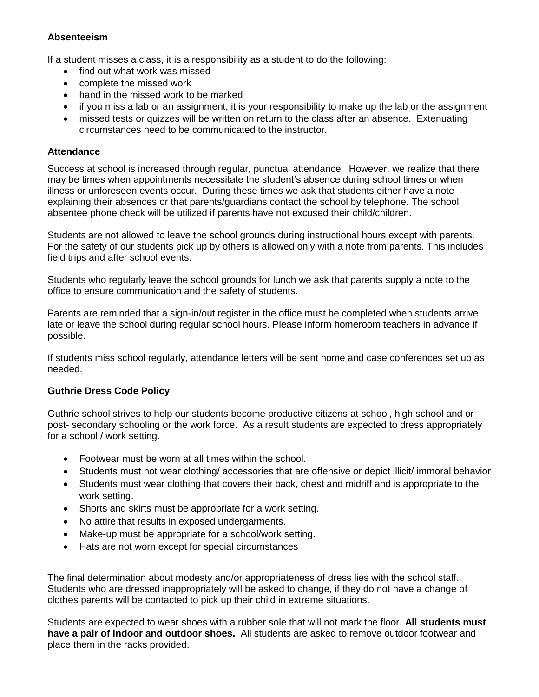# **Absenteeism**

If a student misses a class, it is a responsibility as a student to do the following:

- find out what work was missed
- complete the missed work
- hand in the missed work to be marked
- if you miss a lab or an assignment, it is your responsibility to make up the lab or the assignment
- missed tests or quizzes will be written on return to the class after an absence. Extenuating circumstances need to be communicated to the instructor.

## **Attendance**

Success at school is increased through regular, punctual attendance. However, we realize that there may be times when appointments necessitate the student's absence during school times or when illness or unforeseen events occur. During these times we ask that students either have a note explaining their absences or that parents/guardians contact the school by telephone. The school absentee phone check will be utilized if parents have not excused their child/children.

Students are not allowed to leave the school grounds during instructional hours except with parents. For the safety of our students pick up by others is allowed only with a note from parents. This includes field trips and after school events.

Students who regularly leave the school grounds for lunch we ask that parents supply a note to the office to ensure communication and the safety of students.

Parents are reminded that a sign-in/out register in the office must be completed when students arrive late or leave the school during regular school hours. Please inform homeroom teachers in advance if possible.

If students miss school regularly, attendance letters will be sent home and case conferences set up as needed.

# **Guthrie Dress Code Policy**

Guthrie school strives to help our students become productive citizens at school, high school and or post- secondary schooling or the work force. As a result students are expected to dress appropriately for a school / work setting.

- Footwear must be worn at all times within the school.
- Students must not wear clothing/ accessories that are offensive or depict illicit/ immoral behavior
- Students must wear clothing that covers their back, chest and midriff and is appropriate to the work setting.
- Shorts and skirts must be appropriate for a work setting.
- No attire that results in exposed undergarments.
- Make-up must be appropriate for a school/work setting.
- Hats are not worn except for special circumstances

The final determination about modesty and/or appropriateness of dress lies with the school staff. Students who are dressed inappropriately will be asked to change, if they do not have a change of clothes parents will be contacted to pick up their child in extreme situations.

Students are expected to wear shoes with a rubber sole that will not mark the floor. **All students must have a pair of indoor and outdoor shoes.** All students are asked to remove outdoor footwear and place them in the racks provided.